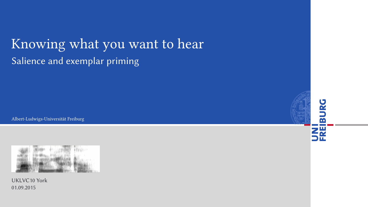## Knowing what you want to hear Salience and exemplar priming

Albert-Ludwigs-Universität Freiburg



UKLVC10 York 01.09.2015



m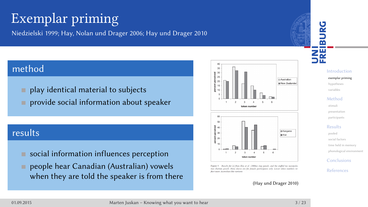## Exemplar priming

Niedzielski 1999; Hay, Nolan und Drager 2006; Hay und Drager 2010

## method

- play identical material to subjects
- **provide social information about speaker**

## results

- social information influences perception
- people hear Canadian (Australian) vowels when they are told the speaker is from there



-<br>Figure 5. Results for [1] from Hay et al. (20<br>tion (bottom panel). Data shown are for few<br>flect more Australian-like variants (top panel), and the staffed toy monipula-<br>tritcipants only. Lower token numbers reIntroduction exemplar priming hypothe variables Method stimuli presentati participants Results pooled social factors time held in phonological environment Conclusions References

UNI<br>FREIBURG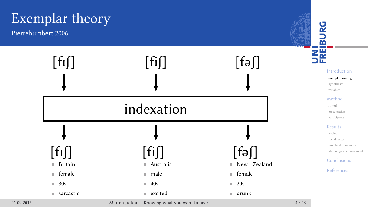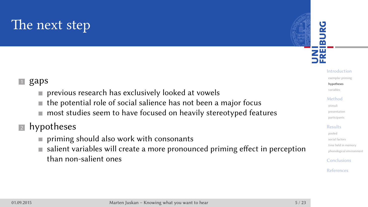## The next step

#### $\blacksquare$  gaps

- **previous research has exclusively looked at vowels**
- the potential role of social salience has not been a major focus
- most studies seem to have focused on heavily stereotyped features

#### 2 hypotheses

- priming should also work with consonants
- salient variables will create a more pronounced priming effect in perception than non-salient ones

# UNI<br>FREIBURG



variables Method

stimuli presentation

participants

Results pooled

- social factors time held in m
- phonological en

Conclusions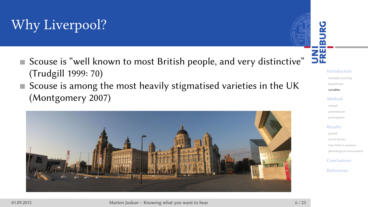## Why Liverpool?

- Scouse is "well known to most British people, and very distinctive" (Trudgill 1999: 70)
- Scouse is among the most heavily stigmatised varieties in the UK (Montgomery 2007)



UNI<br>FREIBURG Introduction exemplar priming hypothe variables Method stimuli presentation participants Results pooled social facto time held in phonological environment Conclusions References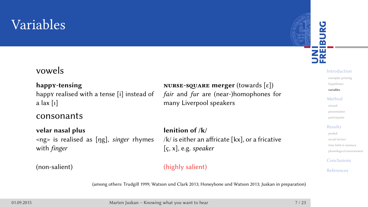## Variables

#### vowels

happy realised with a tense [i] instead of a lax [ɪ]

### consonants

**velar nasal plus lenition of /k/** <ng> is realised as [ŋg], singer rhymes with finger

**happy-tensing nurse-square merger** (towards [ɛ]) fair and fur are (near-)homophones for many Liverpool speakers

> /k/ is either an affricate [kx], or a fricative [ç, x], e.g. speaker

#### (non-salient) (highly salient)

(among others: Trudgill 1999; Watson und Clark 2013; Honeybone und Watson 2013; Juskan in preparation)

01.09.2015 Marten Juskan – Knowing what you want to hear 7 / 23

#### UNI<br>FREIBURG Introduction exemplar priming hypothe variables Method stimuli presentation participants Results pooled social factors

time held in m phonological e

Conclusions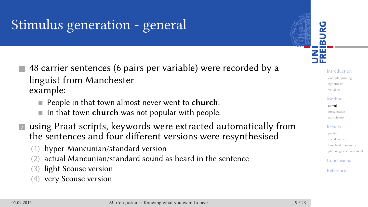## Stimulus generation - general

- **1** 48 carrier sentences (6 pairs per variable) were recorded by a linguist from Manchester example:
	- **People in that town almost never went to church.**
	- In that town **church** was not popular with people.
- **Example 3** using Praat scripts, keywords were extracted automatically from the sentences and four different versions were resynthesised
	- (1) hyper-Mancunian/standard version
	- (2) actual Mancunian/standard sound as heard in the sentence
	- (3) light Scouse version
	- (4) very Scouse version

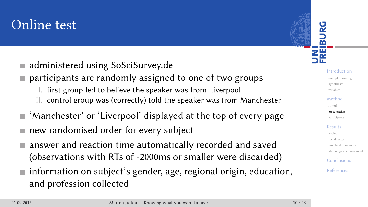## Online test

- administered using SoSciSurvey.de
- participants are randomly assigned to one of two groups
	- I. first group led to believe the speaker was from Liverpool
	- II. control group was (correctly) told the speaker was from Manchester
- 'Manchester' or 'Liverpool' displayed at the top of every page
- new randomised order for every subject
- answer and reaction time automatically recorded and saved (observations with RTs of -2000ms or smaller were discarded)
- information on subject's gender, age, regional origin, education, and profession collected

Introduction exemplar priming hypothese variables Method stimuli presentation participants Results pooled social factors time held in m phonological environment Conclusions

UNI<br>FREIBURG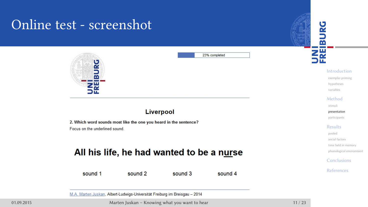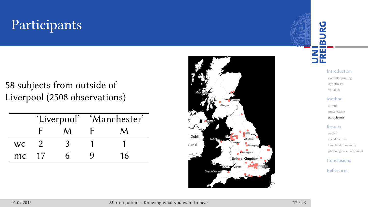# Participants

58 subjects from outside of Liverpool (2508 observations)

|           |    |   | 'Liverpool' 'Manchester' |    |
|-----------|----|---|--------------------------|----|
|           |    |   |                          | м  |
| <b>WC</b> |    |   |                          |    |
| mc.       | 17 | h |                          | 16 |



UNI<br>FREIBURG

variables Method stimuli present participants

Introduction exemplar priming hypothe

#### Results pooled

social factor time held in  $\overline{\phantom{a}}$ 

phonological environment Conclusions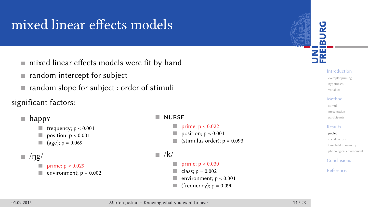## mixed linear effects models

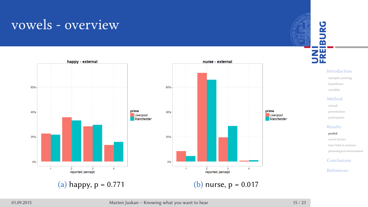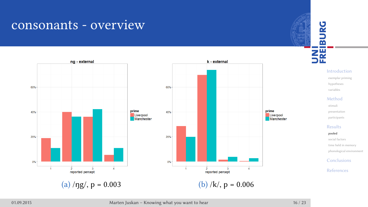

#### 01.09.2015 Marten Juskan – Knowing what you want to hear 16 / 23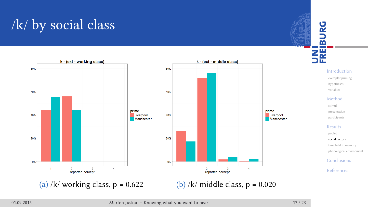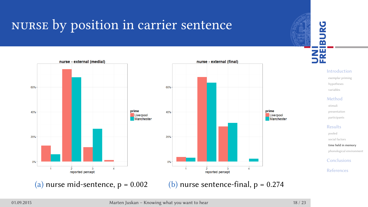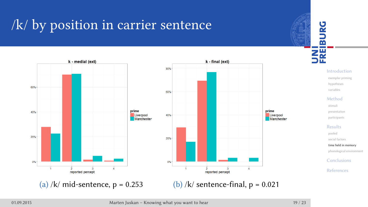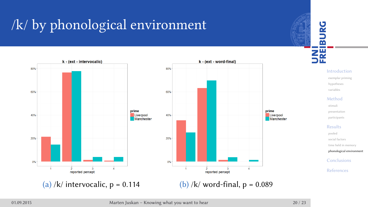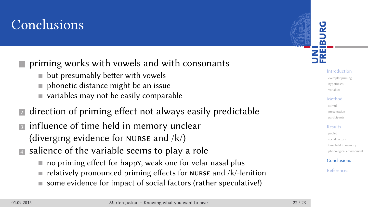## Conclusions

#### $\blacksquare$  priming works with vowels and with consonants

- $\blacksquare$  but presumably better with vowels
- phonetic distance might be an issue
- variables may not be easily comparable
- **I** direction of priming effect not always easily predictable
- **3** influence of time held in memory unclear (diverging evidence for nurse and /k/)
- **Example 3** salience of the variable seems to play a role
	- no priming effect for happy, weak one for velar nasal plus
	- relatively pronounced priming effects for nurse and /k/-lenition
	- some evidence for impact of social factors (rather speculative!)

Introduction exemplar primi hypothe variables Method

UNI<br>FREIBURG